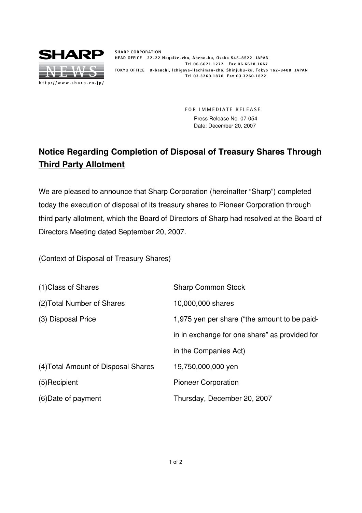

**SHARP CORPORATION HEAD OFFICE 22-22 Nagaike-cho, Abeno-ku, Osaka 545-8522 JAPAN Tel 06.6621.1272 Fax 06.6628.1667 TOKYO OFFICE 8-banchi, Ichigaya-Hachiman-cho, Shinjuku-ku, Tokyo 162-8408 JAPAN Tel 03.3260.1870 Fax 03.3260.1822**

> **FOR IMMEDIATE RELEASE** Press Release No. 07-054 Date: December 20, 2007

## **Notice Regarding Completion of Disposal of Treasury Shares Through Third Party Allotment**

We are pleased to announce that Sharp Corporation (hereinafter "Sharp") completed today the execution of disposal of its treasury shares to Pioneer Corporation through third party allotment, which the Board of Directors of Sharp had resolved at the Board of Directors Meeting dated September 20, 2007.

(Context of Disposal of Treasury Shares)

| (1) Class of Shares                 | <b>Sharp Common Stock</b>                     |
|-------------------------------------|-----------------------------------------------|
| (2) Total Number of Shares          | 10,000,000 shares                             |
| (3) Disposal Price                  | 1,975 yen per share ("the amount to be paid-  |
|                                     | in in exchange for one share" as provided for |
|                                     | in the Companies Act)                         |
| (4) Total Amount of Disposal Shares | 19,750,000,000 yen                            |
| (5) Recipient                       | <b>Pioneer Corporation</b>                    |
| (6) Date of payment                 | Thursday, December 20, 2007                   |